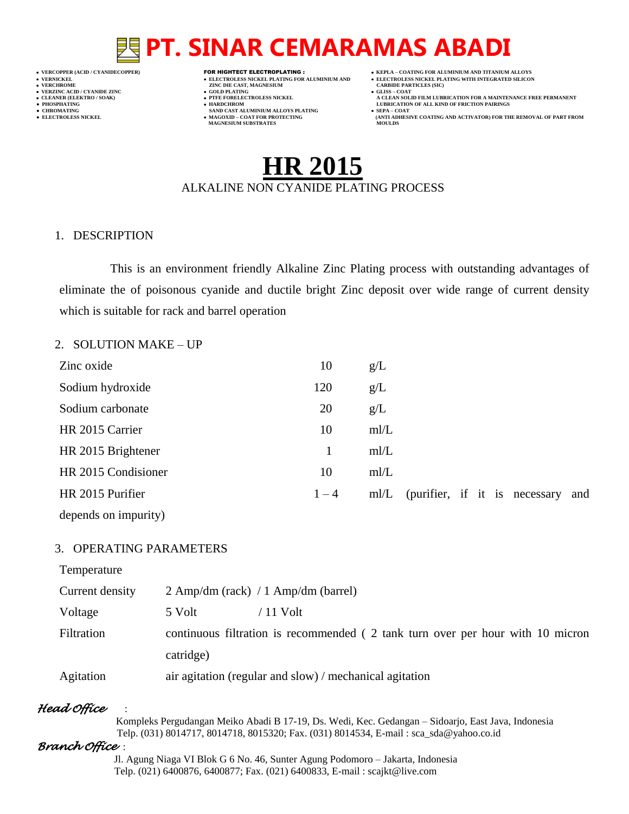## **PT. SINAR CEMARAMAS ABADI**

- 
- 
- 

- **VERT ASSESSED ASSESSED ASSESSED ASSESSED ASSESSED ASSESSED ASSESSED ASSESSED ASSESSED ASSESSED ASSESSED ASSESSED ASSESSED ASSESSED ASSESSED ASSESSED ASSESSED ASSESSED ASSESSED ASSESSED ASSESSED ASSESSED ASSESSED ASSESSED**
- **VERZINC ACID / CYANIDE ZINC GOLD PLATING GLISS – COAT**
	-
- **● CHROMATING SAND CAST ALUMINIUM ALLOYS PLATING SEPA – COAT MAGNESIUM SUBSTRATES MOULDS**
- **VERCOPPER (ACID / CYANIDECOPPER)** FOR HIGHTECT ELECTROPLATING :  **KEPLA – COATING FOR ALUMINIUM AND TITANIUM ALLOYS**
- **VERNICKEL ELECTROLESS NICKEL PLATING FOR ALUMINIUM AND ELECTROLESS NICKEL PLATING WITH INTEGRATED SILICON**
	-
- **CLEANER (ELEKTRO / SOAK) PTFE FORELECTROLESS NICKEL A CLEAN SOLID FILM LUBRICATION FOR A MAINTENANCE FREE PERMANENT ● PHOSPHATING HARDCHROM LUBRICATION OF ALL KIND OF FRICTION PAIRINGS**
- **● ELECTROLESS NICKEL MAGOXID – COAT FOR PROTECTING (ANTI ADHESIVE COATING AND ACTIVATOR) FOR THE REMOVAL OF PART FROM**

## **HR 2015** ALKALINE NON CYANIDE PLATING PROCESS

#### 1. DESCRIPTION

This is an environment friendly Alkaline Zinc Plating process with outstanding advantages of eliminate the of poisonous cyanide and ductile bright Zinc deposit over wide range of current density which is suitable for rack and barrel operation

#### 2. SOLUTION MAKE – UP

| Zinc oxide           | 10      | g/L |  |  |                               |     |
|----------------------|---------|-----|--|--|-------------------------------|-----|
| Sodium hydroxide     | 120     | g/L |  |  |                               |     |
| Sodium carbonate     | 20      | g/L |  |  |                               |     |
| HR 2015 Carrier      | 10      | m/L |  |  |                               |     |
| HR 2015 Brightener   |         | m/L |  |  |                               |     |
| HR 2015 Condisioner  | 10      | m/L |  |  |                               |     |
| HR 2015 Purifier     | $1 - 4$ | m/L |  |  | (purifier, if it is necessary | and |
| depends on impurity) |         |     |  |  |                               |     |

#### 3. OPERATING PARAMETERS

| Temperature     |                                                                                |
|-----------------|--------------------------------------------------------------------------------|
| Current density | $2 \text{ Amp/dm}$ (rack) / 1 Amp/dm (barrel)                                  |
| Voltage         | 5 Volt<br>/ 11 Volt                                                            |
| Filtration      | continuous filtration is recommended (2 tank turn over per hour with 10 micron |
|                 | catridge)                                                                      |
| Agitation       | air agitation (regular and slow) / mechanical agitation                        |

### *Head Office* :

 Kompleks Pergudangan Meiko Abadi B 17-19, Ds. Wedi, Kec. Gedangan – Sidoarjo, East Java, Indonesia Telp. (031) 8014717, 8014718, 8015320; Fax. (031) 8014534, E-mail : sca\_sda@yahoo.co.id

### *Branch Office* :

 Jl. Agung Niaga VI Blok G 6 No. 46, Sunter Agung Podomoro – Jakarta, Indonesia Telp. (021) 6400876, 6400877; Fax. (021) 6400833, E-mail : scajkt@live.com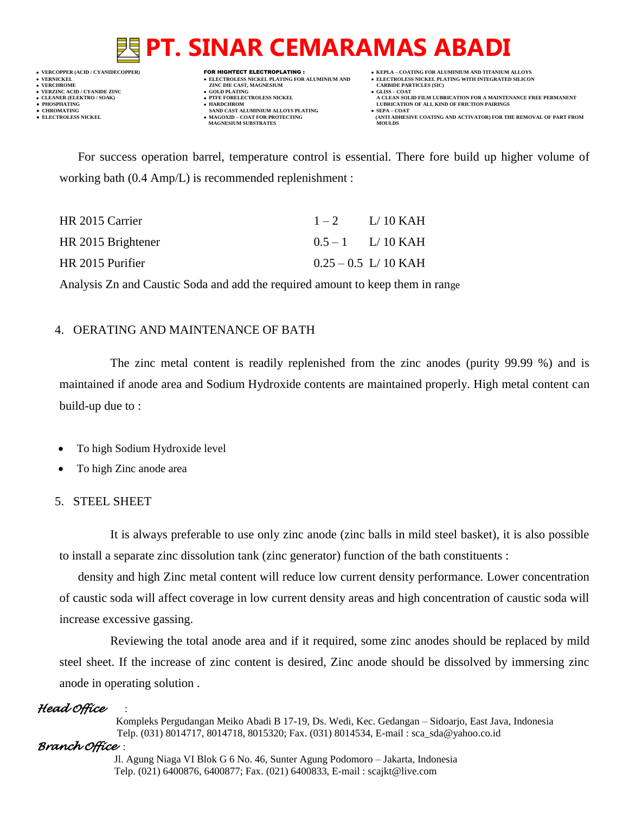## **PT. SINAR CEMARAMAS ABADI**

 **VERNICKEL ELECTROLESS NICKEL PLATING FOR ALUMINIUM AND ELECTROLESS NICKEL PLATING WITH INTEGRATED SILICON VERZINC ACID / CYANIDE ZINC GOLD PLATING GLISS – COAT**

- **VERFORM ZINC DIE CAST, MAGNESIUM CARBIDE PARTICLES (SIC)**<br> **CARBIDE PARTING**
- 
- 
- **CHROMATING SAND CAST ALUMINIUM ALLOYS PLATING**<br>• **ELECTROLESS NICKEL**<br>• **MAGOXID COAT FOR PROTECTING • MAGOXID – COAT FOR PROTECTING<br>MAGNESIUM SUBSTRATES**
- **VERCOPPER (ACID / CYANIDECOPPER)** FOR HIGHTECT ELECTROPLATING :  **KEPLA – COATING FOR ALUMINIUM AND TITANIUM ALLOYS**
	- -
- **CLEANER (ELEKTRO / SOAK) PTFE FORELECTROLESS NICKEL A CLEAN SOLID FILM LUBRICATION FOR A MAINTENANCE FREE PERMANENT ● PHOSPHATING HARDCHROM LUBRICATION OF ALL KIND OF FRICTION PAIRINGS** 
	- **ELECTROLESS AND ACTIVATOR) FOR THE REMOVAL OF PART FROM (ANTI ADHESIVE COATING AND ACTIVATOR) FOR THE REMOVAL OF PART FROM <b>MOULDS**

For success operation barrel, temperature control is essential. There fore build up higher volume of working bath (0.4 Amp/L) is recommended replenishment :

| HR 2015 Carrier    | $1-2$ $1/10$ KAH       |
|--------------------|------------------------|
| HR 2015 Brightener | $0.5 - 1$ L/ 10 KAH    |
| HR 2015 Purifier   | $0.25 - 0.5$ L/ 10 KAH |

Analysis Zn and Caustic Soda and add the required amount to keep them in range

### 4. OERATING AND MAINTENANCE OF BATH

The zinc metal content is readily replenished from the zinc anodes (purity 99.99 %) and is maintained if anode area and Sodium Hydroxide contents are maintained properly. High metal content can build-up due to :

- To high Sodium Hydroxide level
- To high Zinc anode area

### 5. STEEL SHEET

It is always preferable to use only zinc anode (zinc balls in mild steel basket), it is also possible to install a separate zinc dissolution tank (zinc generator) function of the bath constituents :

density and high Zinc metal content will reduce low current density performance. Lower concentration of caustic soda will affect coverage in low current density areas and high concentration of caustic soda will increase excessive gassing.

Reviewing the total anode area and if it required, some zinc anodes should be replaced by mild steel sheet. If the increase of zinc content is desired, Zinc anode should be dissolved by immersing zinc anode in operating solution .

### *Head Office* :

 Kompleks Pergudangan Meiko Abadi B 17-19, Ds. Wedi, Kec. Gedangan – Sidoarjo, East Java, Indonesia Telp. (031) 8014717, 8014718, 8015320; Fax. (031) 8014534, E-mail : sca\_sda@yahoo.co.id

### *Branch Office* :

 Jl. Agung Niaga VI Blok G 6 No. 46, Sunter Agung Podomoro – Jakarta, Indonesia Telp. (021) 6400876, 6400877; Fax. (021) 6400833, E-mail : scajkt@live.com